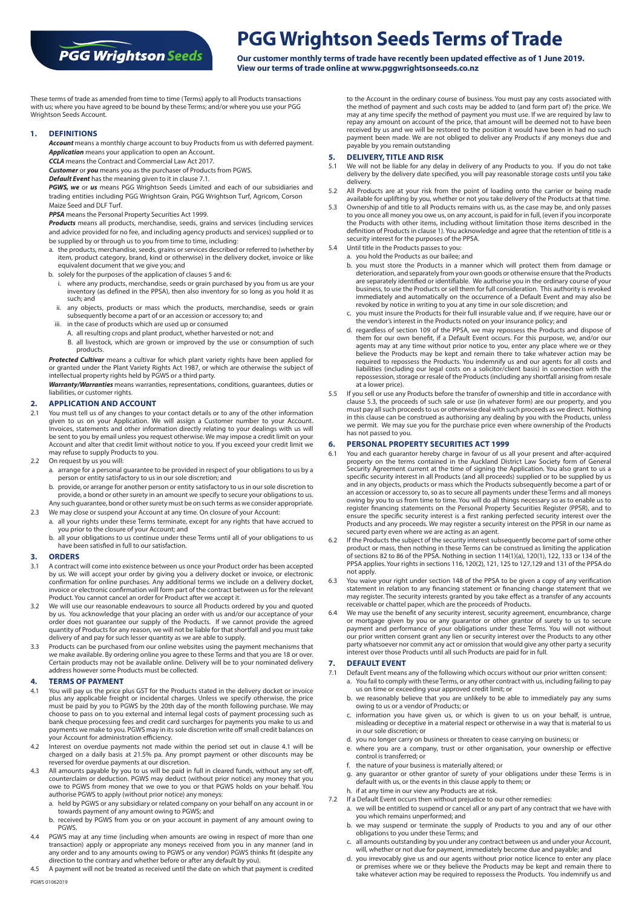# **PGG Wrightson Seeds**

# **PGG Wrightson Seeds Terms of Trade**

**Our customer monthly terms of trade have recently been updated effective as of 1 June 2019. View our terms of trade online at www.pggwrightsonseeds.co.nz**

These terms of trade as amended from time to time (Terms) apply to all Products transactions with us; where you have agreed to be bound by these Terms; and/or where you use your PGG Wrightson Seeds Account.

### **1. DEFINITIONS**

*Account* means a monthly charge account to buy Products from us with deferred payment.

*Application* means your application to open an Account.

*CCLA* means the Contract and Commercial Law Act 2017. *Customer* or *you* means you as the purchaser of Products from PGWS.

*Default Event* has the meaning given to it in clause 7.1.

*PGWS, we* or *us* means PGG Wrightson Seeds Limited and each of our subsidiaries and

trading entities including PGG Wrightson Grain, PGG Wrightson Turf, Agricom, Corson Maize Seed and DLF Turf.

*PPSA* means the Personal Property Securities Act 1999.

*Products* means all products, merchandise, seeds, grains and services (including services and advice provided for no fee, and including agency products and services) supplied or to be supplied by or through us to you from time to time, including:

- a. the products, merchandise, seeds, grains or services described or referred to (whether by item, product category, brand, kind or otherwise) in the delivery docket, invoice or like equivalent document that we give you; and
- b. solely for the purposes of the application of clauses 5 and 6:
	- i. where any products, merchandise, seeds or grain purchased by you from us are your inventory (as defined in the PPSA), then also inventory for so long as you hold it as such; and
	- ii. any objects, products or mass which the products, merchandise, seeds or grain subsequently become a part of or an accession or accessory to; and
	- in the case of products which are used up or consumed
		- A. all resulting crops and plant product, whether harvested or not; and
		- B. all livestock, which are grown or improved by the use or consumption of such products.

*Protected Cultivar* means a cultivar for which plant variety rights have been applied for or granted under the Plant Variety Rights Act 1987, or which are otherwise the subject of intellectual property rights held by PGWS or a third party.

*Warranty/Warranties* means warranties, representations, conditions, guarantees, duties or liabilities, or customer rights.

# **2. APPLICATION AND ACCOUNT**

- 2.1 You must tell us of any changes to your contact details or to any of the other information given to us on your Application. We will assign a Customer number to your Account. Invoices, statements and other information d Account and alter that credit limit without notice to you. If you exceed your credit limit we may refuse to supply Products to you.
- 2.2 On request by us you will:
	- a. arrange for a personal guarantee to be provided in respect of your obligations to us by a person or entity satisfactory to us in our sole discretion; and
	- b. provide, or arrange for another person or entity satisfactory to us in our sole discretion to provide, a bond or other surety in an amount we specify to secure your obligations to us. Any such guarantee, bond or other surety must be on such terms as we consider appropriate.
- 2.3 We may close or suspend your Account at any time. On closure of your Account: a. all your rights under these Terms terminate, except for any rights that have accrued to
	- you prior to the closure of your Account; and
	- b. all your obligations to us continue under these Terms until all of your obligations to us have been satisfied in full to our satisfaction.

### **3. ORDERS**

- 3.1 A contract will come into existence between us once your Product order has been accepted by us. We will accept your order by giving you a delivery docket or invoice, or electronic confirmation for online purchases. Any additional terms we include on a delivery docket, invoice or electronic confirmation will form part of the contract between us for the relevant Product. You cannot cancel an order for Product after we accept it.
- 3.2 We will use our reasonable endeavours to source all Products ordered by you and quoted by us. You acknowledge that your placing an order with us and/or our acceptance of your<br>order does not guarantee our supply of the Products. If we cannot provide the agreed<br>quantity of Products for any reason, we will not delivery of and pay for such lesser quantity as we are able to supply.
- 3.3 Products can be purchased from our online websites using the payment mechanisms that we make available. By ordering online you agree to these Terms and that you are 18 or over. Certain products may not be available online. Delivery will be to your nominated delivery address however some Products must be collected.

# **4. TERMS OF PAYMENT**<br>**4.1** You will pay us the price

- You will pay us the price plus GST for the Products stated in the delivery docket or invoice plus any applicable freight or incidental charges. Unless we specify otherwise, the price<br>must be paid by you to PGWS by the 20th day of the month following purchase. We may<br>choose to pass on to you external and internal l bank cheque processing fees and credit card surcharges for payments you make to us and payments we make to you. PGWS may in its sole discretion write off small credit balances on your Account for administration efficiency.
- 4.2 Interest on overdue payments not made within the period set out in clause 4.1 will be charged on a daily basis at 21.5% pa. Any prompt payment or other discounts may be reversed for overdue payments at our discretion.
- 4.3 All amounts payable by you to us will be paid in full in cleared funds, without any set-off, counterclaim or deduction. PGWS may deduct (without prior notice) any money that you owe to PGWS from money that we owe to you or that PGWS holds on your behalf. You authorise PGWS to apply (without prior notice) any moneys:
	- a. held by PGWS or any subsidiary or related company on your behalf on any account in or towards payment of any amount owing to PGWS; and
	- b. received by PGWS from you or on your account in payment of any amount owing to **PGWS**
- 4.4 PGWS may at any time (including when amounts are owing in respect of more than one transaction) apply or appropriate any moneys received from you in any manner (and in any more rand to any amounts owing to PGWS or any
- 4.5 A payment will not be treated as received until the date on which that payment is credited

to the Account in the ordinary course of business. You must pay any costs associated with the method of payment and such costs may be added to (and form part of) the price. We may at any time specify the method of payment you must use. If we are required by law to repay any amount on account of the price, that amount will be deemed not to have been received by us and we will be restored to the position it would have been in had no such payment been made. We are not obliged to deliver any Products if any moneys due and payable by you remain outstanding

### **5. DELIVERY, TITLE AND RISK**

- 5.1 We will not be liable for any delay in delivery of any Products to you. If you do not take delivery by the delivery date specified, you will pay reasonable storage costs until you take delivery.
- 5.2 All Products are at your risk from the point of loading onto the carrier or being made
- available for uplifting by you, whether or not you take delivery of the Products at that time. 5.3 Ownership of and title to all Products remains with us, as the case may be, and only passes to you once all money you owe us, on any account, is paid for in full, (even if you incorporate the Products with other items, including without limitation those items described in the definition of Products in clause 1). You acknowledge and agree that the retention of title is a security interest for the purposes of the PPSA.
- Until title in the Products passes to you: a. you hold the Products as our bailee; and
	- b. you must store the Products in a manner which will protect them from damage or deterioration, and separately from your own goods or otherwise ensure that the Products are separately identified or identifiable. We authorise you in the ordinary course of your business, to use the Products or sell them for full consideration. This authority is revoked immediately and automatically on the occurrence of a Default Event and may also be revoked by notice in writing to you at any time in our sole discretion; and
	- c. you must insure the Products for their full insurable value and, if we require, have our or the vendor's interest in the Products noted on your insurance policy; and
	- d. regardless of section 109 of the PPSA, we may repossess the Products and dispose of them for our own benefit, if a Default Event occurs. For this purpose, we, and/or our agents may at any time without prior notice to you, enter any place where we or they<br>believe the Products may be kept and remain there to take whatever action may be<br>required to repossess the Products. You indemnify us and repossession, storage or resale of the Products (including any shortfall arising from resale at a lower price).
- 5.5 If you sell or use any Products before the transfer of ownership and title in accordance with clause 5.3, the proceeds of such sale or use (in whatever form) are our property, and you must pay all such proceeds to us or otherwise deal with such proceeds as we direct. Nothing in this clause can be construed as authorising any dealing by you with the Products, unless we permit. We may sue you for the purchase price even where ownership of the Products has not passed to you.

# **6. PERSONAL PROPERTY SECURITIES ACT 1999**<br>**6.1** You and each quarantor hereby charge in favour of us

- 6.1 You and each guarantor hereby charge in favour of us all your present and after-acquired<br>property on the terms contained in the Auckland District Law Society form of General<br>Security Agreement current at the time of si specific security interest in all Products (and all proceeds) supplied or to be supplied by us and in any objects, products or mass which the Products subsequently become a part of or an accession or accessory to, so as to secure all payments under these Terms and all moneys owing by you to us from time to time. You will do all things necessary so as to enable us to register financing statements on the Personal Property Securities Register (PPSR), and to ensure the specific security interest is a first ranking perfected security interest over the Products and any proceeds. We may register a security interest on the PPSR in our name as secured party even where we are acting as an agent.
- 6.2 If the Products the subject of the security interest subsequently become part of some other product or mass, then nothing in these Terms can be construed as limiting the application of sections 82 to 86 of the PPSA. Nothing in section 114(1)(a), 120(1), 122, 133 or 134 of the PPSA applies. Your rights in sections 116, 120(2), 121, 125 to 127,129 and 131 of the PPSA do not apply.
- 6.3 You waive your right under section 148 of the PPSA to be given a copy of any verification statement in relation to any financing statement or financing change statement that we may register. The security interests granted by you take effect as a transfer of any accounts receivable or chattel paper, which are the proceeds of Products.
- 6.4 We may use the benefit of any security interest, security agreement, encumbrance, charge or mortgage given by you or any guarantor or other grantor of surety to us to secure payment and performance of your obligations under these Terms. You will not without<br>our prior written consent grant any lien or security interest over the Products to any other<br>party whatsoever nor commit any act or omissi interest over those Products until all such Products are paid for in full.

#### **7. DEFAULT EVENT**

- 7.1 Default Event means any of the following which occurs without our prior written consent: a. You fail to comply with these Terms, or any other contract with us, including failing to pay
	- us on time or exceeding your approved credit limit; or b. we reasonably believe that you are unlikely to be able to immediately pay any sums owing to us or a vendor of Products; or
	- c. information you have given us, or which is given to us on your behalf, is untrue, misleading or deceptive in a material respect or otherwise in a way that is material to us in our sole discretion; or
	- d. you no longer carry on business or threaten to cease carrying on business; or
	- e. where you are a company, trust or other organisation, your ownership or effective control is transferred; or
	- f. the nature of your business is materially altered; or
	- any guarantor or other grantor of surety of your obligations under these Terms is in default with us, or the events in this clause apply to them; or
	- h. if at any time in our view any Products are at risk.
- 7.2 If a Default Event occurs then without prejudice to our other remedies: a. we will be entitled to suspend or cancel all or any part of any contract that we have with
	- you which remains unperformed; and
	- b. we may suspend or terminate the supply of Products to you and any of our other obligations to you under these Terms; and c. all amounts outstanding by you under any contract between us and under your Account,
	- will, whether or not due for payment, immediately become due and payable; and
	- d. you irrevocably give us and our agents without prior notice licence to enter any place or premises where we or they believe the Products may be kept and remain there to take whatever action may be required to repossess the Products. You indemnify us and